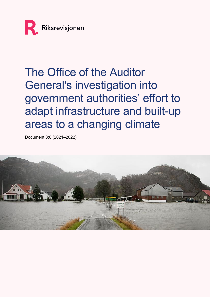

# The Office of the Auditor General's investigation into government authorities' effort to adapt infrastructure and built-up areas to a changing climate

Document 3:6 (2021–2022)

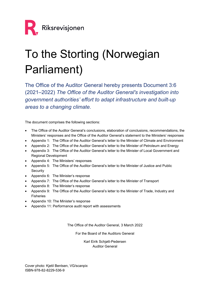

# To the Storting (Norwegian Parliament)

The Office of the Auditor General hereby presents Document 3:6 (2021–2022) *The Office of the Auditor General's investigation into government authorities' effort to adapt infrastructure and built-up areas to a changing climate.*

The document comprises the following sections:

- The Office of the Auditor General's conclusions, elaboration of conclusions, recommendations, the Ministers' responses and the Office of the Auditor General's statement to the Ministers' responses
- Appendix 1: The Office of the Auditor General's letter to the Minister of Climate and Environment
- Appendix 2: The Office of the Auditor General's letter to the Minister of Petroleum and Energy
- Appendix 3: The Office of the Auditor General's letter to the Minister of Local Government and Regional Development
- Appendix 4: The Ministers' responses
- Appendix 5: The Office of the Auditor General's letter to the Minister of Justice and Public Security
- Appendix 6: The Minister's response
- Appendix 7: The Office of the Auditor General's letter to the Minister of Transport
- Appendix 8: The Minister's response
- Appendix 9: The Office of the Auditor General's letter to the Minister of Trade, Industry and Fisheries
- Appendix 10: The Minister's response
- Appendix 11: Performance audit report with assessments

The Office of the Auditor General, 3 March 2022

For the Board of the Auditors General

Karl Eirik Schjøtt-Pedersen Auditor General

Cover photo: Kjetil Bentsen, VG/scanpix ISBN-978-82-8229-536-9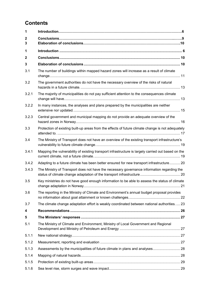# **Contents**

| 1                |                                                                                                    |  |
|------------------|----------------------------------------------------------------------------------------------------|--|
| $\mathbf 2$<br>3 |                                                                                                    |  |
| 1                |                                                                                                    |  |
| 2                |                                                                                                    |  |
| 3                |                                                                                                    |  |
| 3.1              | The number of buildings within mapped hazard zones will increase as a result of climate            |  |
| 3.2              | The government authorities do not have the necessary overview of the risks of natural              |  |
| 3.2.1            | The majority of municipalities do not pay sufficient attention to the consequences climate         |  |
| 3.2.2            | In many instances, the analyses and plans prepared by the municipalities are neither               |  |
| 3.2.3            | Central government and municipal mapping do not provide an adequate overview of the                |  |
| 3.3              | Protection of existing built-up areas from the effects of future climate change is not adequately  |  |
| 3.4              | The Ministry of Transport does not have an overview of the existing transport infrastructure's     |  |
| 3.4.1            | Mapping the vulnerability of existing transport infrastructure is largely carried out based on the |  |
| 3.4.2            | Adapting to a future climate has been better ensured for new transport infrastructure 20           |  |
| 3.4.3            | The Ministry of Transport does not have the necessary governance information regarding the         |  |
| 3.5              | Key ministries do not have good enough information to be able to assess the status of climate      |  |
| 3.6              | The reporting in the Ministry of Climate and Environment's annual budget proposal provides         |  |
| 3.7              | The climate change adaptation effort is weakly coordinated between national authorities 23         |  |
| 4                |                                                                                                    |  |
| 5                |                                                                                                    |  |
| 5.1              | The Ministry of Climate and Environment, Ministry of Local Government and Regional                 |  |
| 5.1.1            |                                                                                                    |  |
| 5.1.2            |                                                                                                    |  |
| 5.1.3            | Assessments by the municipalities of future climate in plans and analyses 28                       |  |
| 5.1.4            |                                                                                                    |  |
| 5.1.5            |                                                                                                    |  |
| 5.1.6            |                                                                                                    |  |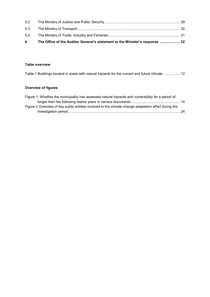| 6 The Office of the Auditor General's statement to the Minister's response  32 |  |
|--------------------------------------------------------------------------------|--|
|                                                                                |  |
|                                                                                |  |
|                                                                                |  |

#### **Table overview**

|  |  |  |  |  |  |  |  |  |  | Table 1 Buildings located in areas with natural hazards for the current and future climate 12 |
|--|--|--|--|--|--|--|--|--|--|-----------------------------------------------------------------------------------------------|
|--|--|--|--|--|--|--|--|--|--|-----------------------------------------------------------------------------------------------|

#### **Overview of figures**

| Figure 1: Whether the municipality has assessed natural hazards and vulnerability for a period of    |  |
|------------------------------------------------------------------------------------------------------|--|
|                                                                                                      |  |
| Figure 2 Overview of key public entities involved in the climate change adaptation effort during the |  |
|                                                                                                      |  |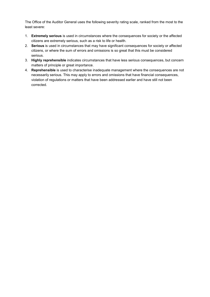The Office of the Auditor General uses the following severity rating scale, ranked from the most to the least severe:

- 1. **Extremely serious** is used in circumstances where the consequences for society or the affected citizens are extremely serious, such as a risk to life or health.
- 2. **Serious** is used in circumstances that may have significant consequences for society or affected citizens, or where the sum of errors and omissions is so great that this must be considered serious.
- 3. **Highly reprehensible** indicates circumstances that have less serious consequences, but concern matters of principle or great importance.
- 4. **Reprehensible** is used to characterise inadequate management where the consequences are not necessarily serious. This may apply to errors and omissions that have financial consequences, violation of regulations or matters that have been addressed earlier and have still not been corrected.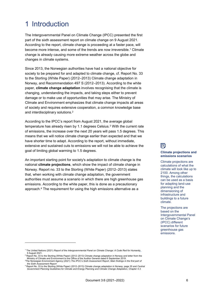# <span id="page-5-0"></span>1 Introduction

The Intergovernmental Panel on Climate Change (IPCC) presented the first part of the sixth assessment report on climate change on 9 August 2021. According to the report, climate change is proceeding at a faster pace, will become more intense, and some of the trends are now irreversible.<sup>1</sup> Climate change is already causing more extreme weather across the globe and changes in climate systems.

Since 2013, the Norwegian authorities have had a national objective for society to be prepared for and adapted to climate change, cf. Report No. 33 to the Storting (White Paper) (2012–2013) Climate change adaptation in Norway, and Recommendation 497 S (2012–2013). According to the white paper, **climate change adaptation** involves recognising that the climate is changing, understanding the impacts, and taking steps either to prevent damage or to make use of opportunities that may arise. The Ministry of Climate and Environment emphasizes that climate change impacts all areas of society and requires extensive cooperation, a common knowledge base and interdisciplinary solutions.<sup>2</sup>

According to the IPCC's report from August 2021, the average global temperature has already risen by 1.1 degrees Celsius.<sup>3</sup> With the current rate of emissions, the increase over the next 20 years will pass 1.5 degrees. This means that we will notice climate change earlier than expected and that we have shorter time to adapt. According to the report, without immediate, extensive and sustained cuts to emissions we will not be able to achieve the goal of limiting global warming to 1.5 degrees.

An important starting point for society's adaptation to climate change is the national **climate projections**, which show the impact of climate change in Norway. Report no. 33 to the Storting (White Paper) (2012–2013) states that, when working with climate change adaptation, the government authorities must assume a scenario in which there are high greenhouse gas emissions. According to the white paper, this is done as a precautionary approach.<sup>4</sup> The requirement for using the high emissions alternative as a

#### 同 **Climate projections and emissions scenarios**

Climate projections are calculations of what the climate will look like up to 2100. Among other things, the calculations can be used as a basis for adapting land-use planning and the dimensioning of infrastructure and buildings to a future climate.

The projections are based on the Intergovernmental Panel on Climate Change's (IPCC) different scenarios for future greenhouse gas emissions.

-

<sup>1</sup> The United Nations (2021) *Report of the Intergovernmental Panel on Climate Change: A Code Red for Humanity*, 9 August 2021.

<sup>2</sup> Report No. 33 to the Storting (White Paper) (2012–2013) Climate change adaptation in Norway and letter from the Ministry of Climate and Environment to the Office of the Auditor General dated 6 September 2019.

<sup>3</sup>The Norwegian Environment Agency (2021) *The IPCC's Sixth Assessment Report, Main findings in the first part of the Sixth Assessment Report* 

<sup>4</sup> Report No. 33 to the Storting (White Paper) (2012–2013) *Climate change adaptation in Norway*, page 35 and *Central Government Planning Guidelines for Climate and Energy Planning and Climate Change Adaptation, Chapter 4.3.*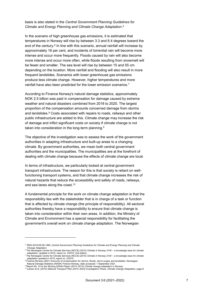#### basis is also stated in the *Central Government Planning Guidelines for Climate and Energy Planning and Climate Change Adaptation*. 5

In the scenario of high greenhouse gas emissions, it is estimated that temperatures in Norway will rise by between 3.3 and 6.4 degrees toward the end of the century.<sup>6</sup> In line with this scenario, annual rainfall will increase by approximately 18 per cent, and incidents of torrential rain will become more intense and occur more frequently. Floods caused by rain will also become more intense and occur more often, while floods resulting from snowmelt will be fewer and smaller. The sea level will rise by between 15 and 55 cm depending on the location. More rainfall and flooding will also result in more frequent landslides. Scenarios with lower greenhouse gas emissions produce less climate change. However, higher temperatures and more rainfall have also been predicted for the lower emission scenarios.<sup>7</sup>

According to Finance Norway's natural damage statistics, approximately NOK 2.5 billion was paid in compensation for damage caused by extreme weather and natural disasters combined from 2018 to 2020. The largest proportion of the compensation amounts concerned damage from storms and landslides.<sup>8</sup> Costs associated with repairs to roads, railways and other public infrastructure are added to this. Climate change may increase the risk of damage and inflict significant costs on society if climate change is not taken into consideration in the long-term planning.<sup>9</sup>

The objective of the investigation was to assess the work of the government authorities in adapting infrastructure and built-up areas to a changing climate. By government authorities, we mean both central government authorities and the municipalities. The municipalities are at the forefront of dealing with climate change because the effects of climate change are local.

In terms of infrastructure, we particularly looked at central government transport infrastructure. The reason for this is that society is reliant on wellfunctioning transport systems, and that climate change increases the risk of natural hazards that reduce the accessibility and safety of roads, railways, and sea lanes along the coast.<sup>10</sup>

A fundamental principle for the work on climate change adaptation is that the responsibility lies with the stakeholder that is in charge of a task or function that is affected by climate change (the principle of responsibility). All sectoral authorities thereby have a responsibility to ensure that climate change is taken into consideration within their own areas. In addition, the Ministry of Climate and Environment has a special responsibility for facilitating the government's overall work on climate change adaptation. The Norwegian

<sup>5</sup> REG-2018-09-28-1469, *Central Government Planning Guidelines for Climate and Energy Planning and Climate Change Adaptation*

<sup>6</sup> The Norwegian Centre for Climate Services (NCCS) (2015) *Climate in Norway 2100 – a knowledge base for climate adaptation,* updated in 2015, report no. 2/2015, 2nd edition*.* 

<sup>7</sup> The Norwegian Centre for Climate Services (NCCS) (2015) *Climate in Norway 2100 – a knowledge base for climate adaptation updated in 2015,* report no. 2/2015

<sup>8</sup> Finance Norway (2021) *Amounts of compensation for storms, floods, storm surges and landslides*. Norwegian

Natural Damage Statistics (NASK) Finance Norway, date accessed: 1 September 2021. <sup>9</sup> Report No. 33 to the Storting (White Paper) (2012–2013) *Climate change adaptation in Norway.*

<sup>10</sup> Larsen et al. (2010) *National Transport Plan (2014–2023) Investigation Phase, Climate Change Adaptation*, page 8.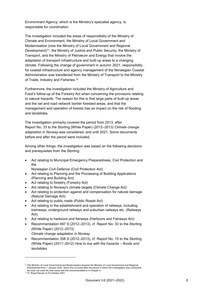Environment Agency, which is the Ministry's specialist agency, is responsible for coordination.

The investigation included the areas of responsibility of the Ministry of Climate and Environment, the Ministry of Local Government and Modernisation (now the Ministry of Local Government and Regional Development)<sup>11</sup>, the Ministry of Justice and Public Security, the Ministry of Transport, and the Ministry of Petroleum and Energy that involve the adaptation of transport infrastructure and built-up areas to a changing climate. Following the change of government in autumn 2021, responsibility for coastal infrastructure and agency management of the Norwegian Coastal Administration was transferred from the Ministry of Transport to the Ministry of Trade, Industry and Fisheries.<sup>12</sup>

Furthermore, the investigation included the Ministry of Agriculture and Food's follow-up of the Forestry Act when concerning the provisions relating to natural hazards. The reason for this is that large parts of built-up areas and the rail and road network border forested areas, and that the management and operation of forests has an impact on the risk of flooding and landslides.

The investigation primarily covered the period from 2013, after Report No. 33 to the Storting (White Paper) (2012–2013) *Climate change adaptation in Norway* was considered, and until 2021. Some documents before and after the period were included.

Among other things, the investigation was based on the following decisions and prerequisites from the Storting:

 Act relating to Municipal Emergency Preparedness, Civil Protection and the

Norwegian Civil Defence (Civil Protection Act)

- Act relating to Planning and the Processing of Building Applications (Planning and Building Act)
- Act relating to forestry (Forestry Act)
- Act relating to Norway's climate targets (Climate Change Act)
- Act relating to protection against and compensation for natural damage (Natural Damage Act)
- Act relating to public roads (Public Roads Act)
- Act relating to the establishment and operation of railways, including tramways, underground railways and suburban railways etc. (Railways Act)
- Act relating to harbours and fairways (Harbours and Fairways Act)
- Recommendation 497 S (2012–2013), cf. Report No. 33 to the Storting (White Paper) (2012–2013) *Climate change adaptation in Norway*
- Recommendation 358 S (2012–2013), cf. Report No. 15 to the Storting (White Paper) (2011–2012) *How to live with the hazards – floods and landslides*

<sup>&</sup>lt;sup>11</sup> The Ministry of Local Government and Modernisation became the Ministry of Local Government and Regional Development from 1 January 2022. Since this occurred after the period in which the investigation was conducted, we have not used the new name until the recommendations in Chapter 4.

<sup>12</sup> Cf. Royal Decree of 22 October 2021.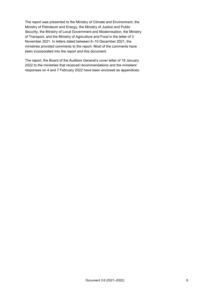The report was presented to the Ministry of Climate and Environment, the Ministry of Petroleum and Energy, the Ministry of Justice and Public Security, the Ministry of Local Government and Modernisation, the Ministry of Transport, and the Ministry of Agriculture and Food in the letter of 3 November 2021. In letters dated between 6–10 December 2021, the ministries provided comments to the report. Most of the comments have been incorporated into the report and this document.

The report, the Board of the Auditors General's cover letter of 18 January 2022 to the ministries that received recommendations and the ministers' responses on 4 and 7 February 2022 have been enclosed as appendices.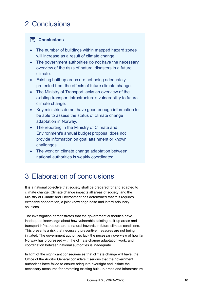# <span id="page-9-0"></span>2 Conclusions

#### **Conclusions**

- The number of buildings within mapped hazard zones will increase as a result of climate change.
- The government authorities do not have the necessary overview of the risks of natural disasters in a future climate.
- Existing built-up areas are not being adequately protected from the effects of future climate change.
- The Ministry of Transport lacks an overview of the existing transport infrastructure's vulnerability to future climate change.
- Key ministries do not have good enough information to be able to assess the status of climate change adaptation in Norway.
- The reporting in the Ministry of Climate and Environment's annual budget proposal does not provide information on goal attainment or known challenges.
- The work on climate change adaptation between national authorities is weakly coordinated.

# <span id="page-9-1"></span>3 Elaboration of conclusions

It is a national objective that society shall be prepared for and adapted to climate change. Climate change impacts all areas of society, and the Ministry of Climate and Environment has determined that this requires extensive cooperation, a joint knowledge base and interdisciplinary solutions.

The investigation demonstrates that the government authorities have inadequate knowledge about how vulnerable existing built-up areas and transport infrastructure are to natural hazards in future climatic conditions. This presents a risk that necessary preventive measures are not being initiated. The government authorities lack the necessary overview of how far Norway has progressed with the climate change adaptation work, and coordination between national authorities is inadequate.

In light of the significant consequences that climate change will have, the Office of the Auditor General considers it serious that the government authorities have failed to ensure adequate oversight and initiate the necessary measures for protecting existing built-up areas and infrastructure.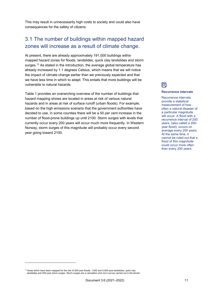This may result in unnecessarily high costs to society and could also have consequences for the safety of citizens.

# <span id="page-10-0"></span>3.1 The number of buildings within mapped hazard zones will increase as a result of climate change.

At present, there are already approximately 191,000 buildings within mapped hazard zones for floods, landslides, quick clay landslides and storm surges.<sup>13</sup> As stated in the introduction, the average global temperature has already increased by 1.1 degrees Celsius, which means that we will notice the impact of climate change earlier than we previously expected and that we have less time in which to adapt. This entails that more buildings will be vulnerable to natural hazards.

Table 1 provides an overarching overview of the number of buildings that hazard mapping shows are located in areas at risk of various natural hazards and in areas at risk of surface runoff (urban floods). For example, based on the high emissions scenario that the government authorities have decided to use, in some counties there will be a 50 per cent increase in the number of flood-prone buildings up until 2100. Storm surges with levels that currently occur every 200 years will occur much more frequently. In Western Norway, storm surges of this magnitude will probably occur every second year going toward 2100.

#### 頂 **Recurrence intervals**

Recurrence intervals provide a statistical measurement of how often a natural disaster of a particular magnitude will occur. A flood with a recurrence interval of 200 years, (also called a 200 year flood), occurs on average every 200 years. At the same time, it cannot be ruled out that a flood of this magnitude could occur more often than every 200 years.

<sup>&</sup>lt;sup>13</sup> Areas which have been mapped for the risk of 200-year floods, 1,000 and 5,000-year landslides, quick clay landslides and 200-year storm surges. Storm surges are a calculation and not a survey carried out in the terrain.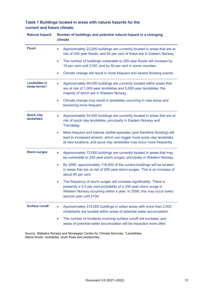#### <span id="page-11-0"></span>**Table 1 Buildings located in areas with natural hazards for the current and future climate.**

| <b>Natural hazard</b>                  | Number of buildings and potential natural hazard in a changing<br>climate                                                                                                                                                                                 |  |  |  |  |  |  |
|----------------------------------------|-----------------------------------------------------------------------------------------------------------------------------------------------------------------------------------------------------------------------------------------------------------|--|--|--|--|--|--|
| <b>Flood</b>                           | Approximately 22,000 buildings are currently located in areas that are at<br>$\bullet$<br>risk of 200-year floods, and 60 per cent of these are in Eastern Norway.                                                                                        |  |  |  |  |  |  |
|                                        | The number of buildings vulnerable to 200-year floods will increase by<br>$\bullet$<br>10 per cent until 2100, and by 50 per cent in some counties.                                                                                                       |  |  |  |  |  |  |
|                                        | Climate change will result in more frequent and severe flooding events.<br>$\bullet$                                                                                                                                                                      |  |  |  |  |  |  |
| <b>Landslides in</b><br>steep terrain* | Approximately 46,000 buildings are currently located within areas that<br>$\bullet$<br>are at risk of 1,000-year landslides and 5,000-year landslides, the<br>majority of which are in Western Norway.                                                    |  |  |  |  |  |  |
|                                        | Climate change may result in landslides occurring in new areas and<br>$\bullet$<br>becoming more frequent.                                                                                                                                                |  |  |  |  |  |  |
| <b>Quick clay</b><br><b>landslides</b> | Approximately 54,000 buildings are currently located in areas that are at<br>$\bullet$<br>risk of quick clay landslides, principally in Eastern Norway and<br>Trøndelag.                                                                                  |  |  |  |  |  |  |
|                                        | More frequent and intense rainfall episodes (and therefore flooding) will<br>$\bullet$<br>lead to increased erosion, which can trigger more quick clay landslides<br>at new locations, and quick clay landslides may occur more frequently.               |  |  |  |  |  |  |
| <b>Storm surges</b>                    | Approximately 72,000 buildings are currently located in areas that may<br>$\bullet$<br>be vulnerable to 200-year storm surges, principally in Western Norway.                                                                                             |  |  |  |  |  |  |
|                                        | By 2090, approximately 116,000 of the current buildings will be located<br>$\bullet$<br>in areas that are at risk of 200-year storm surges. This is an increase of<br>about 60 per cent.                                                                  |  |  |  |  |  |  |
|                                        | The frequency of storm surges will increase significantly. There is<br>$\bullet$<br>presently a 0.5 per cent probability of a 200-year storm surge in<br>Western Norway occurring within a year. In 2090, this may occur every<br>second year until 2100. |  |  |  |  |  |  |
| <b>Surface runoff</b>                  | Approximately 315,000 buildings in urban areas with more than 2,000<br>٠<br>inhabitants are located within areas of potential water accumulation.                                                                                                         |  |  |  |  |  |  |
|                                        | The number of incidents involving surface runoff will increase, and<br>$\bullet$<br>areas of potential water accumulation will be impacted more often.                                                                                                    |  |  |  |  |  |  |

Source: Statistics Norway and Norwegian Centre for Climate Services. \*Landslides, debris floods, rockslides, slush flows and avalanches.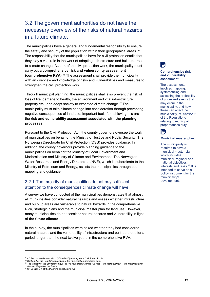# <span id="page-12-0"></span>3.2 The government authorities do not have the necessary overview of the risks of natural hazards in a future climate.

The municipalities have a general and fundamental responsibility to ensure the safety and security of the population within their geographical areas.<sup>14</sup> The responsibility that the municipalities have for civil protection entails that they play a vital role in the work of adapting infrastructure and built-up areas to climate change. As part of the civil protection work, the municipality must carry out **a comprehensive risk and vulnerability assessment (comprehensive RVA)**. <sup>15</sup> The assessment shall provide the municipality with an overview and knowledge of risks and vulnerabilities and measures to strengthen the civil protection work.

Through municipal planning, the municipalities shall also prevent the risk of loss of life, damage to health, the environment and vital infrastructure, property etc., and adapt society to expected climate change.<sup>17</sup> The municipality must take climate change into consideration through preventing negative consequences of land use. Important tools for achieving this are the **risk and vulnerability assessment associated with the planning processes**.

Pursuant to the Civil Protection Act, the county governors oversee the work of municipalities on behalf of the Ministry of Justice and Public Security. The Norwegian Directorate for Civil Protection (DSB) provides guidance. In addition, the county governors provide planning guidance to the municipalities on behalf of the Ministry of Local Government and Modernisation and Ministry of Climate and Environment. The Norwegian Water Resources and Energy Directorate (NVE), which is subordinate to the Ministry of Petroleum and Energy, assists the municipalities through both mapping and guidance.

#### <span id="page-12-1"></span>3.2.1 The majority of municipalities do not pay sufficient attention to the consequences climate change will have.

A survey we have conducted of the municipalities demonstrates that almost all municipalities consider natural hazards and assess whether infrastructure and built-up areas are vulnerable to natural hazards in the comprehensive RVA, strategic plans and the municipal master plan for land use. However, many municipalities do not consider natural hazards and vulnerability in light of **the future climate**

In the survey, the municipalities were asked whether they had considered natural hazards and the vulnerability of infrastructure and built-up areas for a period longer than the next twelve years in the comprehensive RVA,

-

# 同

#### **Comprehensive risk and vulnerability assessment**

The assessments involves mapping, systematizing and assessing the probability of undesired events that may occur in the municipality, and how these can affect the municipality, cf. Section 2 of the Regulations relating to municipal preparedness duty.

### 同

#### **Municipal master plan**

The municipality is required to have a municipal master plan which includes municipal, regional and national objectives, interests and tasks.<sup>16</sup> It is intended to serve as a policy instrument for the municipality's development.

<sup>&</sup>lt;sup>14</sup> Cf. Recommendations 311 L (2009–2010) relating to the Civil Protection Act.

<sup>15</sup> *Section 2 of the Regulations relating to the municipal preparedness duty.*

<sup>16</sup> The Ministry of the Environment (2011) *The Municipal Planning Process – the social element – the implementation element*. Page 8 of the Guide.

<sup>&</sup>lt;sup>17</sup> Cf. Section 3-1 of the Planning and Building Act.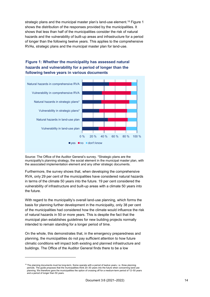strategic plans and the municipal master plan's land-use element.<sup>18</sup> Figure 1 shows the distribution of the responses provided by the municipalities. It shows that less than half of the municipalities consider the risk of natural hazards and the vulnerability of built-up areas and infrastructure for a period of longer than the following twelve years. This applies to the comprehensive RVAs, strategic plans and the municipal master plan for land-use.

#### **Figure 1: Whether the municipality has assessed natural hazards and vulnerability for a period of longer than the following twelve years in various documents**



Source: The Office of the Auditor General's survey. \*Strategic plans are the municipality's planning strategy, the social element in the municipal master plan, with the associated implementation element and any other strategic documents.

Furthermore, the survey shows that, when developing the comprehensive RVA, only 29 per cent of the municipalities have considered natural hazards in terms of the climate 50 years into the future. 19 per cent considered the vulnerability of infrastructure and built-up areas with a climate 50 years into the future.

With regard to the municipality's overall land-use planning, which forms the basis for planning further development in the municipality, only 38 per cent of the municipalities had considered how the climate would influence the risk of natural hazards in 50 or more years. This is despite the fact that the municipal plan establishes guidelines for new building projects normally intended to remain standing for a longer period of time.

On the whole, this demonstrates that, in the emergency preparedness and planning, the municipalities do not pay sufficient attention to how future climatic conditions will impact both existing and planned infrastructure and buildings. The Office of the Auditor General finds there to be a low

<sup>&</sup>lt;sup>18</sup> The planning documents must be long-term. Some operate with a period of twelve years, i.e. three planning periods. The guide proposes that the municipalities think 20–30 years into the future when concerning land-use planning. We therefore gave the municipalities the option of crossing off for a medium-term period of 12–50 years and a period of longer than 50 years.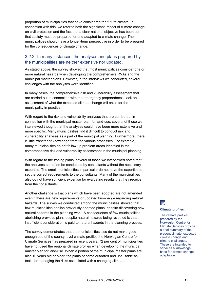proportion of municipalities that have considered the future climate. In connection with this, we refer to both the significant impact of climate change on civil protection and the fact that a clear national objective has been set that society must be prepared for and adapted to climate change. The municipalities should have a longer-term perspective in order to be prepared for the consequences of climate change.

#### <span id="page-14-0"></span>3.2.2 In many instances, the analyses and plans prepared by the municipalities are neither extensive nor updated.

As stated above, the survey showed that most municipalities consider one or more natural hazards when developing the comprehensive RVAs and the municipal master plans. However, in the interviews we conducted, several challenges with the analyses were identified.

In many cases, the comprehensive risk and vulnerability assessment that are carried out in connection with the emergency preparedness, lack an assessment of what the expected climate change will entail for the municipality in practice.

With regard to the risk and vulnerability analyses that are carried out in connection with the municipal master plan for land-use, several of those we interviewed thought that the analyses could have been more extensive and more specific. Many municipalities find it difficult to conduct risk and vulnerability analyses as a part of the municipal planning. Furthermore, there is little transfer of knowledge from the various processes. For example, many municipalities do not follow up problem areas identified in the comprehensive risk and vulnerability assessment in the municipal planning.

With regard to the zoning plans, several of those we interviewed noted that the analyses can often be conducted by consultants without the necessary expertise. The small municipalities in particular do not have the expertise to set the correct requirements to the consultants. Many of the municipalities also do not have sufficient expertise for evaluating results that they receive from the consultants.

Another challenge is that plans which have been adopted are not amended even if there are new requirements or updated knowledge regarding natural hazards. The survey we conducted among the municipalities showed that few municipalities abolish previously adopted plans, despite discovering new natural hazards in the planning work. A consequence of few municipalities abolishing previous plans despite natural hazards being revealed is that insufficient consideration is paid to natural hazards in the planning process.

The survey demonstrates that the municipalities also do not make good enough use of the county-level climate profiles the Norwegian Centre for Climate Services has prepared in recent years. 72 per cent of municipalities have not used the regional climate profiles when developing the municipal master plan for land-use. When a portion of the municipal master plans are also 10 years old or older, the plans become outdated and unsuitable as tools for managing the risks associated with a changing climate.

# 頂

#### **Climate profiles**

The climate profiles prepared by the Norwegian Centre for Climate Services provide a brief summary of the present climate, expected climate change and climate challenges. These are intended to serve as a knowledge base for climate change adaptation.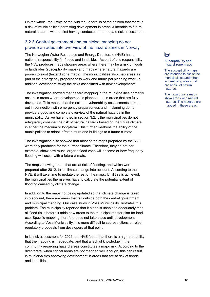On the whole, the Office of the Auditor General is of the opinion that there is a risk of municipalities permitting development in areas vulnerable to future natural hazards without first having conducted an adequate risk assessment.

#### <span id="page-15-0"></span>3.2.3 Central government and municipal mapping do not provide an adequate overview of the hazard zones in Norway

The Norwegian Water Resources and Energy Directorate (NVE) has a national responsibility for floods and landslides. As part of this responsibility, the NVE produces maps showing areas where there may be a risk of floods or landslides (susceptibility maps) and maps where natural hazards are proven to exist (hazard zone maps). The municipalities also map areas as part of the emergency preparedness work and municipal planning work. In addition, developers study the risks associated with new developments.

The investigation showed that hazard mapping in the municipalities primarily occurs in areas where development is planned, not in areas that are fully developed. This means that the risk and vulnerability assessments carried out in connection with emergency preparedness and in planning do not provide a good and complete overview of the natural hazards in the municipality. As we have noted in section 3.2.1, the municipalities do not adequately consider the risk of natural hazards based on the future climate in either the medium or long-term. This further weakens the ability of the municipalities to adapt infrastructure and buildings to a future climate.

The investigation also showed that most of the maps prepared by the NVE were only produced for the current climate. Therefore, they do not, for example, show how much larger a flood zone will become or how frequently flooding will occur with a future climate.

The maps showing areas that are at risk of flooding, and which were prepared after 2012, take climate change into account. According to the NVE, it will take time to update the rest of the maps. Until this is achieved, the municipalities themselves have to calculate the potential extent of flooding caused by climate change.

In addition to the maps not being updated so that climate change is taken into account, there are areas that fall outside both the central government and municipal mapping. Our case study in Voss Municipality illustrates this problem. The municipality reported that it alone is unable to adequately map all flood risks before it adds new areas to the municipal master plan for landuse. Specific mapping therefore does not take place until development. According to Voss Municipality, it is more difficult to set restrictions or reject regulatory proposals from developers at that point.

In its risk assessment for 2021, the NVE found that there is a high probability that the mapping is inadequate, and that a lack of knowledge in the community regarding hazard areas constitutes a major risk. According to the directorate, when critical areas are not mapped well enough, this can result in municipalities approving development in areas that are at risk of floods and landslides.

#### 同 **Susceptibility and hazard zone maps**

The susceptibility maps are intended to assist the municipalities and others in identifying areas that are at risk of natural hazards.

The hazard zone maps show areas with natural hazards. The hazards are mapped in these areas.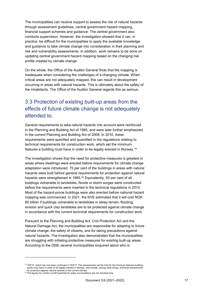The municipalities can receive support to assess the risk of natural hazards through assessment guidelines, central government hazard mapping, financial support schemes and guidance. The central government also conducts supervision. However, the investigation showed that it can, in practice, be difficult for the municipalities to apply the available knowledge and guidance to take climate change into consideration in their planning and risk and vulnerability assessments. In addition, work remains to be done on updating central government hazard mapping based on the changing risk profile created by climate change.

On the whole, the Office of the Auditor General finds that the mapping is inadequate when considering the challenges of a changing climate. When critical areas are not adequately mapped, this can result in development occurring in areas with natural hazards. This is ultimately about the safety of the inhabitants. The Office of the Auditor General regards this as serious.

### <span id="page-16-0"></span>3.3 Protection of existing built-up areas from the effects of future climate change is not adequately attended to.

General requirements to take natural hazards into account were reinforced in the Planning and Building Act of 1985, and were later further emphasized in the current Planning and Building Act of 2008. In 2010, these requirements were specified and quantified in the regulations relating to technical requirements for construction work, which set the minimum features a building must have in order to be legally erected in Norway.<sup>19</sup>

The investigation shows that the need for protective measures is greatest in areas where dwellings were erected before requirements for climate change adaptation were introduced. 75 per cent of the buildings in areas with natural hazards were built before general requirements for protection against natural hazards were strengthened in 1985.<sup>20</sup> Equivalently, 93 per cent of all buildings vulnerable to landslides, floods or storm surges were constructed before the requirements were inserted in the technical regulations in 2010. Most of the hazard-prone buildings were also erected before national hazard mapping was commenced. In 2021, the NVE estimated that it will cost NOK 85 billion if buildings vulnerable to landslides in steep terrain, flooding, erosion and quick clay landslides are to be protected against climate change in accordance with the current technical requirements for construction work.

Pursuant to the Planning and Building Act, Civil Protection Act and the Natural Damage Act, the municipalities are responsible for adapting to future climate change, the safety of citizens, and for taking precautions against natural hazards. The investigation also demonstrated that the municipalities are struggling with initiating protective measures for existing built-up areas. According to the DSB, several municipalities enquired about who is

<sup>19</sup> TEK10, which has now been continued in TEK17. The requirements set the limit for the minimum features building works must have in order to be legally erected in Norway, and include, among other things, technical requirements for protection against natural hazards in the current climate.

<sup>&</sup>lt;sup>20</sup> The figures for surface runoff (potential for water accumulation) are not included here.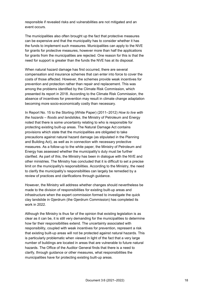responsible if revealed risks and vulnerabilities are not mitigated and an event occurs.

The municipalities also often brought up the fact that protective measures can be expensive and that the municipality has to consider whether it has the funds to implement such measures. Municipalities can apply to the NVE for grants for protective measures, however more than half the applications for grants from the municipalities are rejected. One reason for this is that the need for support is greater than the funds the NVE has at its disposal.

When natural hazard damage has first occurred, there are several compensation and insurance schemes that can enter into force to cover the costs of those affected. However, the schemes provide weak incentives for prevention and protection rather than repair and replacement. This was among the problems identified by the Climate Risk Commission, which presented its report in 2018. According to the Climate Risk Commission, the absence of incentives for prevention may result in climate change adaptation becoming more socio-economically costly than necessary.

In Report No. 15 to the Storting (White Paper) (2011–2012) *How to live with the hazards – floods and landslides*, the Ministry of Petroleum and Energy noted that there is some uncertainty relating to who is responsible for protecting existing built-up areas. The Natural Damage Act contains provisions which state that the municipalities are obligated to take precautions against natural hazard damage (as stipulated in the Planning and Building Act), as well as in connection with necessary protective measures. As a follow-up to the white paper, the Ministry of Petroleum and Energy has assessed whether the municipality's duty must be further clarified. As part of this, the Ministry has been in dialogue with the NVE and other ministries. The Ministry has concluded that it is difficult to set a precise limit on the municipality's responsibilities. According to the Ministry, the need to clarify the municipality's responsibilities can largely be remedied by a review of practices and clarifications through guidance.

However, the Ministry will address whether changes should nevertheless be made to the division of responsibilities for existing built-up areas and infrastructure when the expert commission formed to investigate the quick clay landslide in Gjerdrum (the Gjerdrum Commission) has completed its work in 2022.

Although the Ministry is thus far of the opinion that existing legislation is as clear as it can be, it is still very demanding for the municipalities to determine how far their responsibilities extend. The uncertainty associated with responsibility, coupled with weak incentives for prevention, represent a risk that existing built-up areas will not be protected against natural hazards. This is particularly problematic when viewed in light of the fact that a very large number of buildings are located in areas that are vulnerable to future natural hazards. The Office of the Auditor General finds that there is a need to clarify, through guidance or other measures, what responsibilities the municipalities have for protecting existing built-up areas.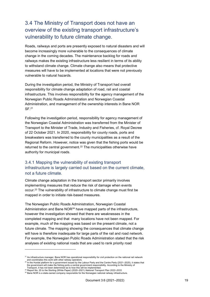### <span id="page-18-0"></span>3.4 The Ministry of Transport does not have an overview of the existing transport infrastructure's vulnerability to future climate change.

Roads, railways and ports are presently exposed to natural disasters and will become increasingly more vulnerable to the consequences of climate change in the coming decades. The maintenance backlog for roads and railways makes the existing infrastructure less resilient in terms of its ability to withstand climate change. Climate change also means that protective measures will have to be implemented at locations that were not previously vulnerable to natural hazards.

During the investigation period, the Ministry of Transport had overall responsibility for climate change adaptation of road, rail and coastal infrastructure. This involves responsibility for the agency management of the Norwegian Public Roads Administration and Norwegian Coastal Administration, and management of the ownership interests in Bane NOR SF.<sup>21</sup>

Following the investigation period, responsibility for agency management of the Norwegian Coastal Administration was transferred from the Minister of Transport to the Minister of Trade, Industry and Fisheries, cf. Royal Decree of 22 October 2021. In 2020, responsibility for county roads, ports and breakwaters was transferred to the county municipalities as a result of the Regional Reform. However, notice was given that the fishing ports would be returned to the central government.<sup>22</sup> The municipalities otherwise have authority for municipal roads.

#### <span id="page-18-1"></span>3.4.1 Mapping the vulnerability of existing transport infrastructure is largely carried out based on the current climate, not a future climate.

Climate change adaptation in the transport sector primarily involves implementing measures that reduce the risk of damage when events occur.<sup>23</sup> The vulnerability of infrastructure to climate change must first be mapped in order to initiate risk-based measures.

The Norwegian Public Roads Administration, Norwegian Coastal Administration and Bane NOR<sup>24</sup> have mapped parts of the infrastructure, however the investigation showed that there are weaknesses in the completed mapping and that many locations have not been mapped. For example, much of the mapping was based on the present climate, not a future climate. The mapping showing the consequences that climate change will have is therefore inadequate for large parts of the rail and road network. For example, the Norwegian Public Roads Administration stated that the risk analyses of existing national roads that are used to rank priority road

-

 $21$  As infrastructure manager, Bane NOR has operational responsibility for civil protection on the national rail network and coordinates this work with other railway operators.<br><sup>22</sup> In the Hurdal platform for a government issued by the Labour Party and the Centre Party (2021–2025), it states that

the government will make the fishing ports a central government responsibility. According to the Ministry of

Transport, it has not been determined as to how this will be implemented. <sup>23</sup> Report No. 20 to the Storting (White Paper) (2020–2021) *National Transport Plan 2022–2033*.

<sup>24</sup> Bane NOR is a state-owned company responsible for the Norwegian national railway infrastructure.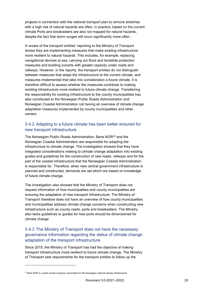projects in connection with the national transport plan to remove stretches with a high risk of natural hazards are often, in practice, based on the current climate Ports and breakwaters are also not mapped for natural hazards, despite the fact that storm surges will occur significantly more often.

A review of the transport entities' reporting to the Ministry of Transport shows they are implementing measures that make existing infrastructure more resilient to natural hazards. This includes, for example, replacing navigational devices at sea, carrying out flood and landslide protection measures and building culverts with greater capacity under roads and railways. However, in the reports, the transport entities do not distinguish between measures that adapt the infrastructure to the current climate, and measures implemented that take into consideration a future climate. It is therefore difficult to assess whether the measures contribute to making existing infrastructure more resilient to future climate change. Transferring the responsibility for existing infrastructure to the county municipalities has also contributed to the Norwegian Public Roads Administration and Norwegian Coastal Administration not having an overview of climate change adaptation measures implemented by county municipalities and other owners.

#### <span id="page-19-0"></span>3.4.2 Adapting to a future climate has been better ensured for new transport infrastructure

The Norwegian Public Roads Administration, Bane NOR<sup>25</sup> and the Norwegian Coastal Administration are responsible for adapting the infrastructure to climate change. The investigation showed that they have integrated considerations relating to climate change adaptation into existing guides and guidelines for the construction of new roads, railways and for the part of the coastal infrastructure that the Norwegian Coastal Administration is responsible for. Therefore, when new central government infrastructure is planned and constructed, demands are set which are based on knowledge of future climate change.

The investigation also showed that the Ministry of Transport does not request information of how municipalities and county municipalities are ensuring the adaptation of new transport infrastructure. The Ministry of Transport therefore does not have an overview of how county municipalities and municipalities address climate change concerns when constructing new infrastructure such as county roads, ports and breakwaters. The Ministry also lacks guidelines or guides for how ports should be dimensioned for climate change.

#### <span id="page-19-1"></span>3.4.3 The Ministry of Transport does not have the necessary governance information regarding the status of climate change adaptation of the transport infrastructure

Since 2015, the Ministry of Transport has had the objective of making transport infrastructure more resilient to future climate change. The Ministry of Transport sets requirements for the transport entities to follow up the

 $25$  Bane NOR is a state-owned company responsible for the Norwegian national railway infrastructure.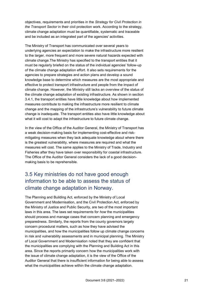objectives, requirements and priorities in the *Strategy for Civil Protection in the Transport Sector* in their civil protection work. According to the strategy, climate change adaptation must be quantifiable, systematic and traceable and be included as an integrated part of the agencies' activities.

The Ministry of Transport has communicated over several years to underlying agencies an expectation to make the infrastructure more resilient to the larger, more frequent and more severe natural hazards expected with climate change.The Ministry has specified to the transport entities that it must be regularly briefed on the status of the individual agencies' follow-up of the climate change adaptation effort. It also sets requirements for the agencies to prepare strategies and action plans and develop a sound knowledge base to determine which measures are the most appropriate and effective to protect transport infrastructure and people from the impact of climate change. However, the Ministry still lacks an overview of the status of the climate change adaptation of existing infrastructure. As shown in section 3.4.1, the transport entities have little knowledge about how implemented measures contribute to making the infrastructure more resilient to climate change and the mapping of the infrastructure's vulnerability to future climate change is inadequate. The transport entities also have little knowledge about what it will cost to adapt the infrastructure to future climate change.

In the view of the Office of the Auditor General, the Ministry of Transport has a weak decision-making basis for implementing cost-effective and riskmitigating measures when they lack adequate knowledge about where there is the greatest vulnerability, where measures are required and what the measures will cost. The same applies to the Ministry of Trade, Industry and Fisheries after they have taken over responsibility for coastal infrastructure. The Office of the Auditor General considers the lack of a good decisionmaking basis to be reprehensible.

# <span id="page-20-0"></span>3.5 Key ministries do not have good enough information to be able to assess the status of climate change adaptation in Norway.

The Planning and Building Act, enforced by the Ministry of Local Government and Modernisation, and the Civil Protection Act, enforced by the Ministry of Justice and Public Security, are two of the most important laws in this area. The laws set requirements for *how* the municipalities should process and manage cases that concern planning and emergency preparedness. Similarly, the reports from the county governors largely concern procedural matters, such as how they have advised the municipalities, and how the municipalities follow up climate change concerns in risk and vulnerability assessments and in municipal planning. The Ministry of Local Government and Modernisation noted that they are confident that the municipalities are complying with the Planning and Building Act in this area. Since the reports primarily concern how the municipalities work with the issue of climate change adaptation, it is the view of the Office of the Auditor General that there is insufficient information for being able to assess what the municipalities achieve within the climate change adaptation.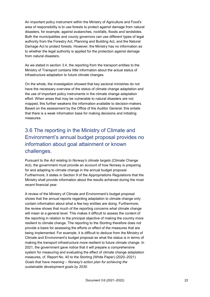An important policy instrument within the Ministry of Agriculture and Food's area of responsibility is to use forests to protect against damage from natural disasters, for example, against avalanches, rockfalls, floods and landslides. Both the municipalities and county governors can use different types of legal authority from the Forestry Act, Planning and Building Act, and the Natural Damage Act to protect forests. However, the Ministry has no information as to whether the legal authority is applied for the protection against damage from natural disasters.

As we stated in section 3.4, the reporting from the transport entities to the Ministry of Transport contains little information about the actual status of infrastructure adaptation to future climate changes.

On the whole, the investigation showed that key sectoral ministries do not have the necessary overview of the status of climate change adaptation and the use of important policy instruments in the climate change adaptation effort. When areas that may be vulnerable to natural disasters are not mapped, this further weakens the information available to decision-makers. Based on the assessment by the Office of the Auditor General, this entails that there is a weak information base for making decisions and initiating measures.

# <span id="page-21-0"></span>3.6 The reporting in the Ministry of Climate and Environment's annual budget proposal provides no information about goal attainment or known challenges.

Pursuant to the *Act relating to Norway's climate targets* (Climate Change Act), the government must provide an account of how Norway is preparing for and adapting to climate change in the annual budget proposal. Furthermore, it states in Section 9 of the Appropriations Regulations that the Ministry shall provide information about the results achieved during the most recent financial year.

A review of the Ministry of Climate and Environment's budget proposal shows that the annual reports regarding adaptation to climate change only contain information about what a few key entities are doing. Furthermore, the review shows that much of the reporting concerns what climate change will mean at a general level. This makes it difficult to assess the content of the reporting in relation to the principal objective of making the country more resilient to climate change. The reporting to the Storting therefore does not provide a basis for assessing the efforts or effect of the measures that are being implemented. For example, it is difficult to deduce from the Ministry of Climate and Environment's budget proposal as what the status is in terms of making the transport infrastructure more resilient to future climate change. In 2021, the government gave notice that it will prepare a comprehensive system for measuring and evaluating the effect of climate change adaptation measures, cf. Report No. 40 to the Storting (White Paper) (2020–2021) *Goals that have meaning – Norway's action plan for achieving the sustainable development goals by 2030.*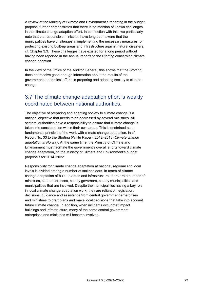A review of the Ministry of Climate and Environment's reporting in the budget proposal further demonstrates that there is no mention of known challenges in the climate change adaption effort. In connection with this, we particularly note that the responsible ministries have long been aware that the municipalities have challenges in implementing the necessary measures for protecting existing built-up areas and infrastructure against natural disasters, cf. Chapter 3.3. These challenges have existed for a long period without having been reported in the annual reports to the Storting concerning climate change adaption.

In the view of the Office of the Auditor General, this shows that the Storting does not receive good enough information about the results of the government authorities' efforts in preparing and adapting society to climate change.

# <span id="page-22-0"></span>3.7 The climate change adaptation effort is weakly coordinated between national authorities.

The objective of preparing and adapting society to climate change is a national objective that needs to be addressed by several ministries. All sectoral authorities have a responsibility to ensure that climate change is taken into consideration within their own areas. This is enshrined as a fundamental principle of the work with climate change adaptation, in cf. Report No. 33 to the Storting (White Paper) (2012–2013) *Climate change adaptation in Norway.* At the same time, the Ministry of Climate and Environment must facilitate the government's overall efforts toward climate change adaptation, cf. the Ministry of Climate and Environment's budget proposals for 2014–2022.

Responsibility for climate change adaptation at national, regional and local levels is divided among a number of stakeholders. In terms of climate change adaptation of built-up areas and infrastructure, there are a number of ministries, state enterprises, county governors, county municipalities and municipalities that are involved. Despite the municipalities having a key role in local climate change adaptation work, they are reliant on legislation, decisions, guidance and assistance from central government enterprises and ministries to draft plans and make local decisions that take into account future climate change. In addition, when incidents occur that impact buildings and infrastructure, many of the same central government enterprises and ministries will become involved.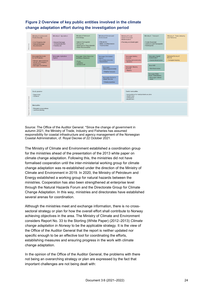



Source: The Office of the Auditor General. \*Since the change of government in autumn 2021, the Ministry of Trade, Industry and Fisheries has assumed responsibility for coastal infrastructure and agency management of the Norwegian Coastal Administration, cf. Royal Decree of 22 October 2021.

The Ministry of Climate and Environment established a coordination group for the ministries ahead of the presentation of the 2013 white paper on climate change adaptation. Following this, the ministries did not have formalised cooperation until the inter-ministerial working group for climate change adaptation was re-established under the direction of the Ministry of Climate and Environment in 2019. In 2020, the Ministry of Petroleum and Energy established a working group for natural hazards between the ministries. Cooperation has also been strengthened at enterprise level through the Natural Hazards Forum and the Directorate Group for Climate Change Adaptation. In this way, ministries and directorates have established several arenas for coordination.

Although the ministries meet and exchange information, there is no crosssectoral strategy or plan for how the overall effort shall contribute to Norway achieving objectives in the area. The Ministry of Climate and Environment considers Report No. 33 to the Storting (White Paper) (2012–2013) *Climate change adaptation in Norway* to be the applicable strategy. It is the view of the Office of the Auditor General that the report is neither updated nor specific enough to be an effective tool for coordinating the efforts, establishing measures and ensuring progress in the work with climate change adaptation.

In the opinion of the Office of the Auditor General, the problems with there not being an overarching strategy or plan are expressed by the fact that important challenges are not being dealt with: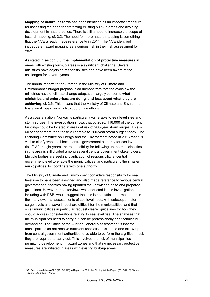**Mapping of natural hazards** has been identified as an important measure for assessing the need for protecting existing built-up areas and avoiding development in hazard zones. There is still a need to increase the scope of hazard mapping, cf. 3.2. The need for more hazard mapping is something that the NVE already made reference to in 2014. The NVE identified inadequate hazard mapping as a serious risk in their risk assessment for 2021.

As stated in section 3.3, **the implementation of protective measures** in areas with existing built-up areas is a significant challenge. Several ministries have adjoining responsibilities and have been aware of the challenges for several years.

The annual reports to the Storting in the Ministry of Climate and Environment's budget proposal also demonstrate that the overview the ministries have of climate change adaptation largely concerns **what ministries and enterprises are doing, and less about what they are achieving**, cf. 3.6. This means that the Ministry of Climate and Environment has a weak basis on which to coordinate efforts.

As a coastal nation, Norway is particularly vulnerable to **sea level rise** and storm surges. The investigation shows that by 2090, 116,000 of the current buildings could be located in areas at risk of 200-year storm surges. This is 60 per cent more than those vulnerable to 200-year storm surges today. The Standing Committee on Energy and the Environment noted in 2013 that it is vital to clarify who shall have central government authority for sea level rise.<sup>26</sup> After eight years, the responsibility for following up the municipalities in this area is still divided among several central government stakeholders. Multiple bodies are seeking clarification of responsibility at central government level to enable the municipalities, and particularly the smaller municipalities, to coordinate with one authority.

The Ministry of Climate and Environment considers responsibility for sea level rise to have been assigned and also made reference to various central government authorities having updated the knowledge base and prepared guidelines. However, the interviews we conducted in this investigation, including with DSB, would suggest that this is not sufficient. It was noted in the interviews that assessments of sea level rises, with subsequent storm surge levels and wave impact are difficult for the municipalities, and that small municipalities in particular request clearer guidelines for how they should address considerations relating to sea level rise. The analyses that the municipalities need to carry out can be professionally and technically demanding. The Office of the Auditor General's assessment is that the municipalities do not receive sufficient specialist assistance and follow-up from central government authorities to be able to perform the significant task they are required to carry out. This involves the risk of municipalities permitting development in hazard zones and that no necessary protective measures are initiated in areas with existing built-up areas.

<sup>26</sup> Cf. Recommendations 497 S (2012–2013) to Report No. 33 to the Storting (White Paper) (2012–2013) *Climate change adaptation in Norway.*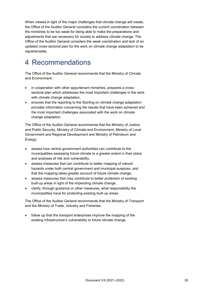When viewed in light of the major challenges that climate change will create, the Office of the Auditor General considers the current coordination between the ministries to be too weak for being able to make the preparations and adjustments that are necessary for society to address climate change. The Office of the Auditor General considers the weak coordination and lack of an updated cross-sectoral plan for the work on climate change adaptation to be reprehensible.

# <span id="page-25-0"></span>4 Recommendations

The Office of the Auditor General recommends that the Ministry of Climate and Environment:

- in cooperation with other appurtenant ministries, prepares a crosssectoral plan which addresses the most important challenges in the work with climate change adaptation,
- ensures that the reporting to the Storting on climate change adaptation provides information concerning the results that have been achieved and the most important challenges associated with the work on climate change adaptation.

The Office of the Auditor General recommends that the Ministry of Justice and Public Security, Ministry of Climate and Environment, Ministry of Local Government and Regional Development and Ministry of Petroleum and Energy:

- assess how central government authorities can contribute to the municipalities assessing future climate to a greater extent in their plans and analyses of risk and vulnerability,
- assess measures that can contribute to better mapping of natural hazards under both central government and municipal auspices, and that the mapping takes greater account of future climate change,
- assess measures that may contribute to better protection of existing built-up areas in light of the impending climate change,
- clarify, through guidance or other measures, what responsibility the municipalities have for protecting existing built-up areas.

The Office of the Auditor General recommends that the Ministry of Transport and the Ministry of Trade, Industry and Fisheries:

 follow up that the transport enterprises improve the mapping of the existing infrastructure's vulnerability to future climate change.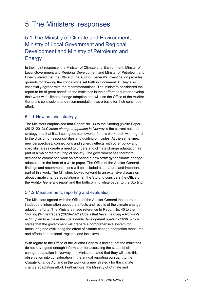# <span id="page-26-0"></span>5 The Ministers' responses

# <span id="page-26-1"></span>5.1 The Ministry of Climate and Environment, Ministry of Local Government and Regional Development and Ministry of Petroleum and **Energy**

In their joint response, the Minister of Climate and Environment, Minster of Local Government and Regional Development and Minster of Petroleum and Energy stated that the Office of the Auditor General's investigation provides grounds for drawing the conclusions set forth in Document 3. They also essentially agreed with the recommendations. The Ministers considered the report to be of great benefit to the ministries in their efforts to further develop their work with climate change adaption and will use the Office of the Auditor General's conclusions and recommendations as a basis for their continued effort.

#### <span id="page-26-2"></span>5.1.1 New national strategy

The Ministers emphasised that Report No. 33 to the Storting (White Paper) (2012–2013) *Climate change adaptation in Norway* is the current national strategy and that it still sets good frameworks for this work, both with regard to the division of responsibilities and guiding principles. At the same time, new perspectives, connections and synergy effects with other policy and specialist areas create a need to understand climate change adaptation as part of a major restructuring of society. The government has therefore decided to commence work on preparing a new strategy for climate change adaptation in the form of a white paper. The Office of the Auditor General's findings and recommendations will be included as a natural and important part of this work. The Ministers looked forward to an extensive discussion about climate change adaptation when the Storting considers the Office of the Auditor General's report and the forthcoming white paper to the Storting.

#### <span id="page-26-3"></span>5.1.2 Measurement, reporting and evaluation

The Ministers agreed with the Office of the Auditor General that there is inadequate information about the effects and results of the climate change adaption efforts. The Ministers made reference to Report No. 40 to the Storting (White Paper) (2020–2021) *Goals that have meaning – Norway's action plan to achieve the sustainable development goals by 2030,* which states that the government will prepare a comprehensive system for measuring and evaluating the effect of climate change adaptation measures and efforts at a national, regional and local level.

With regard to the Office of the Auditor General's finding that the ministries do not have good enough information for assessing the status of climate change adaptation in Norway, the Ministers stated that they will take this observation into consideration in the annual reporting pursuant to the *Climate Change Act* and in the work on a new strategy for the climate change adaptation effort. Furthermore, the Ministry of Climate and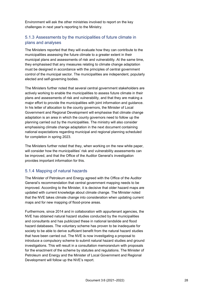Environment will ask the other ministries involved to report on the key challenges in next year's reporting to the Ministry.

#### <span id="page-27-0"></span>5.1.3 Assessments by the municipalities of future climate in plans and analyses

The Ministers reported that they will evaluate how they can contribute to the municipalities assessing the future climate to a greater extent in their municipal plans and assessments of risk and vulnerability. At the same time, they emphasised that any measures relating to climate change adaptation must be designed in accordance with the principles of central government control of the municipal sector. The municipalities are independent, popularly elected and self-governing bodies.

The Ministers further noted that several central government stakeholders are actively working to enable the municipalities to assess future climate in their plans and assessments of risk and vulnerability, and that they are making a major effort to provide the municipalities with joint information and guidance. In his letter of allocation to the county governors, the Minister of Local Government and Regional Development will emphasise that climate change adaptation is an area in which the county governors need to follow up the planning carried out by the municipalities. The ministry will also consider emphasising climate change adaptation in the next document containing national expectations regarding municipal and regional planning scheduled for completion in spring 2023.

The Ministers further noted that they, when working on the new white paper, will consider how the municipalities' risk and vulnerability assessments can be improved, and that the Office of the Auditor General's investigation provides important information for this.

#### <span id="page-27-1"></span>5.1.4 Mapping of natural hazards

The Minister of Petroleum and Energy agreed with the Office of the Auditor General's recommendation that central government mapping needs to be improved. According to the Minister, it is decisive that older hazard maps are updated with current knowledge about climate change. The Minister noted that the NVE takes climate change into consideration when updating current maps and for new mapping of flood-prone areas.

Furthermore, since 2014 and in collaboration with appurtenant agencies, the NVE has obtained natural hazard studies conducted by the municipalities and consultants and has publicized these in national landslide and flood hazard databases. The voluntary scheme has proven to be inadequate for society to be able to derive sufficient benefit from the natural hazard studies that have been carried out. The NVE is now investigating a proposal to introduce a compulsory scheme to submit natural hazard studies and ground investigations. This will result in a consultation memorandum with proposals for the enactment of the scheme by statutes and regulations. The Minister of Petroleum and Energy and the Minister of Local Government and Regional Development will follow up the NVE's report.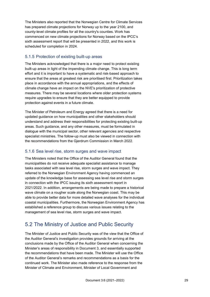The Ministers also reported that the Norwegian Centre for Climate Services has prepared climate projections for Norway up to the year 2100, and county-level climate profiles for all the country's counties. Work has commenced on new climate projections for Norway based on the IPCC's sixth assessment report that will be presented in 2022, and this work is scheduled for completion in 2024.

#### <span id="page-28-0"></span>5.1.5 Protection of existing built-up areas

The Ministers acknowledged that there is a major need to protect existing built-up areas in light of the impending climate change. This is long term effort and it is important to have a systematic and risk-based approach to ensure that the areas at greatest risk are prioritised first. Prioritization takes place in accordance with the annual appropriations, and the effects of climate change have an impact on the NVE's prioritization of protective measures. There may be several locations where older protection systems require upgrades to ensure that they are better equipped to provide protection against events in a future climate.

The Minister of Petroleum and Energy agreed that there is a need for updated guidance on how municipalities and other stakeholders should understand and address their responsibilities for protecting existing built-up areas. Such guidance, and any other measures, must be formulated in dialogue with the municipal sector, other relevant agencies and respective specialist ministries. The follow-up must also be viewed in connection with the recommendations from the Gjerdrum Commission in March 2022.

#### <span id="page-28-1"></span>5.1.6 Sea level rise, storm surges and wave impact

The Ministers noted that the Office of the Auditor General found that the municipalities do not receive adequate specialist assistance to manage tasks associated with sea level rise, storm surges and wave impact. They referred to the Norwegian Environment Agency having commenced an update of the knowledge base for assessing sea level rise and storm surges in connection with the IPCC issuing its sixth assessment report in 2021/2022. In addition, arrangements are being made to prepare a historical wave climate on a rougher scale along the Norwegian coast. This may be able to provide better data for more detailed wave analyses for the individual coastal municipalities. Furthermore, the Norwegian Environment Agency has established a reference group to discuss various issues relating to the management of sea level rise, storm surges and wave impact.

# <span id="page-28-2"></span>5.2 The Ministry of Justice and Public Security

The Minister of Justice and Public Security was of the view that the Office of the Auditor General's investigation provides grounds for arriving at the conclusions made by the Office of the Auditor General when concerning the Minister's areas of responsibility in Document 3, and essentially supported the recommendations that have been made. The Minister will use the Office of the Auditor General's remarks and recommendations as a basis for the continued work. The Minister also made reference to the response from the Minister of Climate and Environment, Minister of Local Government and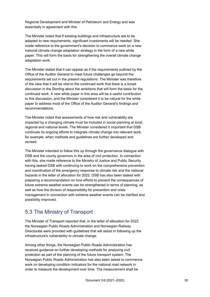Regional Development and Minister of Petroleum and Energy and was essentially in agreement with this.

The Minister noted that if existing buildings and infrastructure are to be adapted to new requirements, significant investments will be needed. She made reference to the government's decision to commence work on a new national climate change adaptation strategy in the form of a new white paper. This will form the basis for strengthening the overall climate change adaptation work.

The Minister stated that it can appear as if the requirements outlined by the Office of the Auditor General to meet future challenges go beyond the requirements set out in the present regulations. The Minister was therefore of the view that it will be vital to the continued work that there is a broad discussion in the Storting about the ambitions that will form the basis for the continued work. A new white paper in this area will be a useful contribution to this discussion, and the Minister considered it to be natural for the white paper to address most of the Office of the Auditor General's findings and recommendations.

The Minister noted that assessments of how risk and vulnerability are impacted by a changing climate must be included in social planning at local, regional and national levels. The Minister considered it important that DSB continues its ongoing efforts to integrate climate change into relevant work, for example, when methods and guidelines are further developed and revised.

The Minister intended to follow this up through the governance dialogue with DSB and the county governors in the area of civil protection. In connection with this, she made reference to the Ministry of Justice and Public Security having tasked DSB with continuing to work on the comprehensive prevention and coordination of the emergency response to climate risk and the national hazards in the letter of allocation for 2022. DSB has also been tasked with preparing a recommendation on how efforts to prevent the consequences of future extreme weather events can be strengthened in terms of planning, as well as how the division of responsibility for prevention and crisis management in connection with extreme weather events can be clarified and possibility improved.

### <span id="page-29-0"></span>5.3 The Ministry of Transport

The Minister of Transport reported that, in the letter of allocation for 2022, the Norwegian Public Roads Administration and Norwegian Railway Directorate were provided with guidelines that will assist in following up the infrastructure's vulnerability to climate change.

Among other things, the Norwegian Public Roads Administration has received guidance on further developing methods for analysing civil protection as part of the planning of the future transport system. The Norwegian Public Roads Administration has also been asked to commence work on developing condition indicators for the national road network in order to measure the development over time. The measurement shall be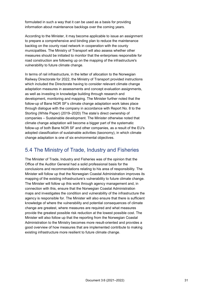formulated in such a way that it can be used as a basis for providing information about maintenance backlogs over the coming years.

According to the Minister, it may become applicable to issue an assignment to prepare a comprehensive and binding plan to reduce the maintenance backlog on the county road network in cooperation with the county municipalities. The Ministry of Transport will also assess whether other measures should be initiated to monitor that the enterprises responsible for road construction are following up on the mapping of the infrastructure's vulnerability to future climate change.

In terms of rail infrastructure, in the letter of allocation to the Norwegian Railway Directorate for 2022, the Ministry of Transport provided instructions which included the Directorate having to consider relevant climate change adaptation measures in assessments and concept evaluation assignments, as well as investing in knowledge building through research and development, monitoring and mapping. The Minister further noted that the follow-up of Bane NOR SF's climate change adaptation work takes place through dialogue with the company in accordance with Report No. 8 to the Storting (White Paper) (2019–2020) The state's direct ownership of companies – Sustainable development. The Minister otherwise noted that climate change adaptation will become a bigger part of the systematic follow-up of both Bane NOR SF and other companies, as a result of the EU's adopted classification of sustainable activities (taxonomy), in which climate change adaptation is one of six environmental objectives.

### <span id="page-30-0"></span>5.4 The Ministry of Trade, Industry and Fisheries

The Minister of Trade, Industry and Fisheries was of the opinion that the Office of the Auditor General had a solid professional basis for the conclusions and recommendations relating to his area of responsibility. The Minister will follow up that the Norwegian Coastal Administration improves its mapping of the existing infrastructure's vulnerability to future climate change. The Minister will follow up this work through agency management and, in connection with this, ensure that the Norwegian Coastal Administration maps and investigates the condition and vulnerability of the infrastructure the agency is responsible for. The Minister will also ensure that there is sufficient knowledge of where the vulnerability and potential consequences of climate change are greatest, where measures are required and what measures provide the greatest possible risk reduction at the lowest possible cost. The Minister will also follow up that the reporting from the Norwegian Coastal Administration to the Ministry becomes more result-oriented and provides a good overview of how measures that are implemented contribute to making existing infrastructure more resilient to future climate change.